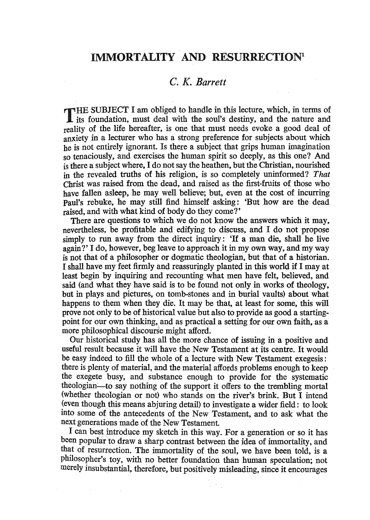## IMMORTALITY AND RESURRECTION<sup>1</sup>

## C. *K. Barrett*

THE SUBJECT I am obliged to handle in this lecture, which, in terms of **its foundation, must deal with the soul's destiny, and the nature and** reality of the life hereafter, is one that must needs evoke a good deal of anxiety in a lecturer who has a strong preference for subjects about which he is not entirely ignorant. Is there a subject that grips human imagination so tenaciously, and exercises the human spirit so deeply, as this one? And is there a subject where, I do not say the heathen, but the Christian, nourished in the revealed truths of his religion, is so completely uninformed? *That*  Christ was raised from the dead, and raised as the first-fruits of those who have fallen asleep, he may well believe; but, even at the cost of incurring Paul's rebuke, he may still find himself asking: 'But how are the dead raised, and with what kind of body do they come?'

There are questions to which we do not know the answers which it may, nevertheless, be profitable and edifying to discuss, and I do not propose simply to run away from the direct inquiry: 'If a man die, shall he live again?' I do, however, beg leave to approach it in my own way, and my way is not that of a philosopher or dogmatic theologian, but that of a historian. I shall have my feet firmly and reassuringly planted in this world if I may at least begin by inquiring and recounting what men have felt, believed, and said (and what they have said is to be found not only in works of theology, but in plays and pictures, on tomb-stones and in burial vaults) about what happens to them when they die. It may be that, at least for some, this will prove not only to be of historical value but also to provide as good a startingpoint for our own thinking, and as practical a setting for our own faith, as a more philosophical discourse might afford.

Our historical study has all the more chance of issuing in a positive and useful result because it will have the New Testament. at its centre. It would be easy indeed to fill the whole of a lecture with New Testament exegesis: there is plenty of material, and the material affords problems enough to keep the exegete busy, and substance enough to provide for the systematic theologian—to say nothing of the support it offers to the trembling mortal (whether theologian or not) who stands on the river's brink. But I intend (even though this means abjuring detail) to investigate a wider field : to look into some of the antecedents of the New Testament, and to ask what the next generations made of the New Testament.

I can bestintroduce my sketch in this way. For a generation or so it has been popular to draw a sharp contrast between the idea of immortality, and that of resurrection. The immortality of the soul, we have been told, is a philosopher's toy, with no better foundation than human speculation; not merely insubstantial, therefore, but positively misleading, since it encourages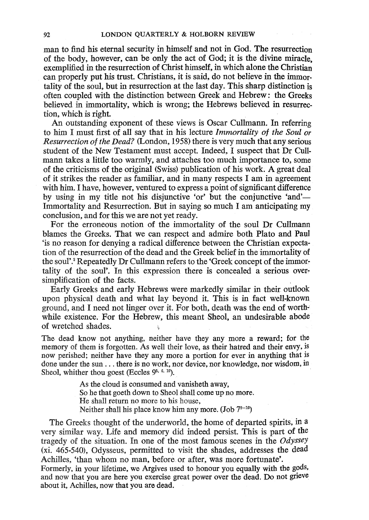man to find his eternal security in himself and not in God. The resurrection of the body, however, can be only the act of God; it is the divine miracle. exemplified in the resurrection of Christ himself, in which alone the Christian can properly put his trust. Christians, it is said. do not believe in the immortality of the soul, but in resurrection at the last day. This sharp distinction is often coupled with the distinction between Greek and Hebrew: the Greeks believed in immortality, which is wrong; the Hebrews believed in resurrection, which is right.

An outstanding exponent of these views is Oscar Culhnann. In referring to him I must first of all say that in his lecture *Immortality of the Soul or Resurrection of the Dead?* (London, 1958) there is very much that any serious student of the New Testament must accept. Indeed, I suspect that Dr Cullmann takes a little too warmly, and attaches too much importance to, some of the criticisms of the original (Swiss) publication of his work. A great deal of it strikes the reader as familiar. and in many respects I am in agreement with him. I have, however, ventured to express a point of significant difference by using in my title not his disjunctive 'or' but the conjunctive 'and'— Immortality and Resurrection. But in saying so much I am anticipating my conclusion. and for this we are not yet ready.

For the erroneous notion of the immortality of the soul Dr CuIlmann blames the Greeks. That we can respect and admire both Plato and Paul 'is no reason for denying a radical difference between the Christian expectation of the resurrection of the dead and the Greek belief in the immortality of the soul'.<sup>2</sup> Repeatedly Dr Cullmann refers to the 'Greek concept of the immortality of the soul'. In this expression there is concealed a serious oversimplification of the facts.

Early Greeks and early Hebrews were markedly similar in their outlook upon physical death and what lay beyond it. This is in fact well-known ground, and I need not linger over it. For both. death was the end of worth-' while existence. For the Hebrew, this meant Sheol, an undesirable abode of wretched shades.

The dead know not anything, neither have they any more a reward; for the memory of them is forgotten. As well their love, as their hatred and their envy, is now perished; neither have they any more a portion for ever in anything that is done under the sun ... there is no work. nor device, nor knowledge, nor wisdom, in Sheol, whither thou goest (Eccles  $9^{5, 6, 10}$ ).

> As the cloud is consumed and vanisheth away, So he that goeth down to Sheol shall come up no more. He shall return no more to his house, Neither shall his place know him any more. (Job  $7^{9-10}$ )

The Greeks thought of the underworld, the home of departed spirits, in a very similar way. Life and memory did indeed persist. This is part of the tragedy of the situation. In one of the most famous scenes in the *Odyssey*  (xi. 465-540), Odysseus. permitted to visit the shades. addresses the dead Achilles, 'than whom no man, before or after, was more fortunate'.

Formerly, in your lifetime, we Argives used to honour you equally with the gods, and now that you are here you exercise great power over the dead. Do not grieve about it, Achilles, now that you are dead.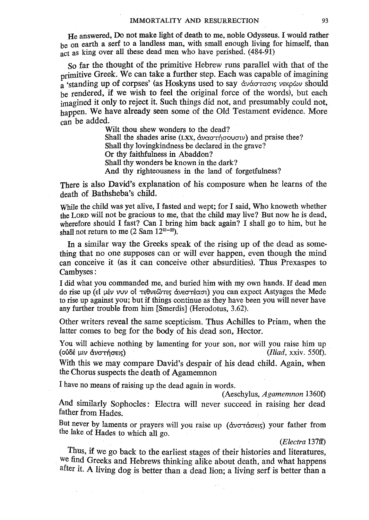He answered, Do not make light of death to me, noble Odysseus. I would rather be on earth a serf to a landless man, with small enough living for himself, than act as king over all these dead men who have perished. (484-91)

So far the thought of the primitive Hebrew runs parallel with that of the primitive Greek. We can take a further step. Each was capable of imagining a 'standing up of corpses' (as Hoskyns used to say ανάστασις νεκρών should the rendered, if we wish to feel the original force of the words), but each imagined it only to reject it. Such things did not, and presumably could not, happen. We have already seen some of the Old Testament evidence. More  $\frac{1}{2}$  can be added.

> Wilt thou shew wonders to the dead? Shall the shades arise (LXX, άναστήσουσιν) and praise thee? Shall thy loving kindness be declared in the grave? Or thy faithfulness in Abaddon? Shall thy wonders be known in the dark? And thy righteousness in the land of forgetfulness?

There is also David's explanation of his composure when he learns of the death of Bathsheba's child.

While the child was yet alive, I fasted and wept; for I said, Who knoweth whether the LORD will not be gracious to me, that the child may live? But now he is dead, wherefore should I fast? Can I bring him back again? I shall go to him, but he shall not return to me  $(2 Sam 12<sup>22-23</sup>)$ .

In a similar way the Greeks speak of the rising up of the dead as something that no one supposes can or will ever happen, even though the mind can conceive it (as it can conceive other absurdities). Thus Prexaspes to Cambyses:

I did what you commanded me, and buried him with my own hands. If dead men do rise up (εί μέν νυν οί τεθνεῶτες ἀνεστέασι) you can expect Astyages the Mede to rise up against you; but if things continue as they have been you will never have any further trouble from him [Smerdis] (Herodotus, 3.62).

Other writers reveal the same scepticism. Thus Achilles to Priam, when the latter comes to beg for the body of his dead son, Hector.

You will achieve nothing by lamenting for your son, nor will you raise him up (ούδέ μιν άνστήσεις) (*Iliad*, xxiv. 550f).

With this we may compare David's despair of his dead child. Again, when the Chorus suspects the death of Agamemnon

I have no means of raising up the dead again in words.

 $\sim$ 

(Aeschylus, Agamemnon 1360f)

And similarly Sophocles: Electra will never succeed in raising her dead father from Hades.

But never by laments or prayers will you raise up (άνοτάσεις) your father from the lake of Hades to which all go.

 $(Electra 137ff)$ 

Thus, if we go back to the earliest stages of their histories and literatures, we find Greeks and Hebrews thinking alike about death, and what happens after it. A living dog is better than a dead lion; a living serf is better than a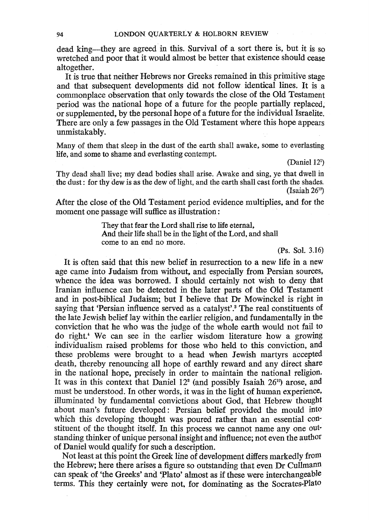dead king—they are agreed in this. Survival of a sort there is, but it is so wretched and poor that it would almost be better that existence should cease altogether.

It is true that neither Hebrews nor Greeks remained in this primitive stage and that subsequent developments did not follow identical lines. It is <sup>a</sup> commonplace observation that only towards the close of the Old Testament period was the national hope of a future for the people partially replaced; or supplemented, by the personal hope of a future for the individual Israelite. There are only a few passages in the Old Testament where this hope appears unmistakably.

Many of them that sleep in the dust of the earth shall awake, some to everlasting life, and some to shame and everlasting contempt.

(Daniel  $12<sup>2</sup>$ )

Thy dead shall live; my dead bodies shall arise. Awake and sing. ye that dwell in the dust: for thy dew is as the dew of light, and the earth shall cast forth the shades. (Isaiah  $26^{19}$ )

After the close of the Old Testament period evidence multiplies, and for the moment one passage will suffice as illustration:

> They that fear the Lord shall rise to life eternal. And their life shall be in the light of the Lord, and shall come to an end no more.

> > (Ps. Sol. 3.16)

It is often said that this new belief in resurrection to a new life in a new age came into Judaism from without, and especially from Persian sources, whence the idea was borrowed. I should certainly not wish to deny that Iranian influence can be detected in the later parts of the Old Testament and in post-biblical Judaism; but I believe that Dr Mowinckel is right in saying that 'Persian influence served as a catalyst'.<sup>3</sup> The real constituents of the late Jewish belief lay within the earlier religion, and fundamentally in the conviction that he who was the judge of the whole earth would not fail to do right.<sup>4</sup> We can see in the earlier wisdom literature how a growing individualism raised problems for those who held to this conviction, and these problems were brought to a head when Jewish martyrs accepted death, thereby renouncing all hope of earthly reward and any direct share in the national hope, precisely in order to maintain the national religion. It was in this context that Daniel  $12^2$  (and possibly Isaiah  $26^{19}$ ) arose, and must be understood. In other words, it was in the light of human experience, illuminated by fundamental convictions about God, that Hebrew thought about man's future developed: Persian belief provided the mould into which this developing thought was poured rather than an essential constituent of the thought itself. In this process we cannot name anyone outstanding thinker of unique personal insight and influence; not even the author of Daniel would qualify for such a description.

Not least at this point the Greek line of development differs markedly from the Hebrew; here there arises a figure so outstanding that even Dr Cullmann can speak of 'the Greeks' and 'Plato' almost as if these were interchangeable terms. This they certainly were not. for dominating as the Socrates-Plato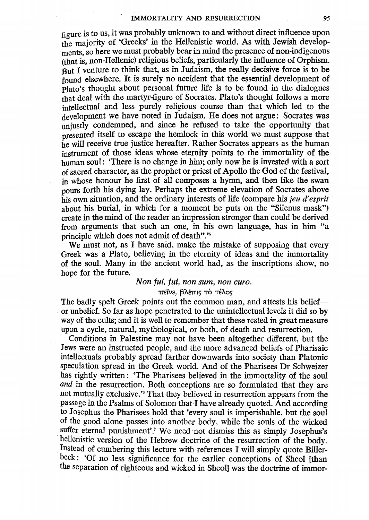figure is to us, it was probably unknown to and without direct influence upon the majority of 'Greeks' in the Hellenistic world. As with Jewish developments, so here we must probably bear in mind the presence of non-indigenous (that is, non-Hellenic) religious beliefs, particularly the influence of Orphism. But I venture to think that, as in Judaism, the really decisive force is to be found elsewhere. It is surely no accident that the essential development of Plato's thought about personal future life is to be found in the dialogues that deal with the martyr-figure of Socrates. Plato's thought follows a more intellectual and less purely religious course than that which led to the development we have noted in Judaism. He does not argue: Socrates was unjustly condemned, and since he refused to take the opportunity that presented itself to escape the hemlock in this world we must suppose that he will receive true justice hereafter. Rather Socrates appears as the human instrument of those ideas whose eternity points to the immortality of the human soul: 'There is no change in him; only now he is invested with a sort of sacred character, as the prophet or priest of Apollo the God of the festival, in whose honour he first of all composes a hymn, and then like the swan pours forth his dying lay. Perhaps the extreme elevation of Socrates above his own situation, and the ordinary interests of life (compare his *jeu d' esprit*  about his burial, in which for a moment he puts on the "Silenus mask") create in the mind of the reader an impression stronger than could be derived from arguments that such an one, in his own language, has in him "a principle which does not admit of death".'5

We must not, as I have said, make the mistake of supposing that every Greek was a Plato, believing in the eternity of ideas and the immortality of the soul. Many in the ancient world had, as the inscriptions show. no hope for the future.

## *Non tui, tui, non sum, non curo.*

## πεΐνε, βλέπις τὸ τέλος

The badly spelt Greek points out the common man, and attests his belief or unbelief. So far as hope penetrated to the unintellectual levels it did so by way of the cults; and it is well to remember that these rested in great measure upon a cycle, natural, mythological, or both, of death and resurrection.

Conditions in Palestine may not have been altogether different, but the Jews were an instructed people, and the more advanced beliefs of Pharisaic intellectuals probably spread farther downwards into society than Platonic speculation spread in the Greek world. And of the Pharisees Dr Schweizer has rightly written: 'The Pharisees believed in the immortality of the soul *and* in the resurrection. Both conceptions are so formulated that they are not mutually exclusive.'<sup>6</sup> That they believed in resurrection appears from the passage in the Psalms of Solomon that I have already quoted. And according to Josephus the Pharisees hold that 'every soul is imperishable, but the soul of the good alone passes into another body, while the souls of the wicked suffer eternal punishment'.7 We need not dismiss this as simply Josephus's hellenistic version of the Hebrew doctrine of the resurrection of the body. Instead of cumbering this lecture with references I will simply quote Billerbeck: 'Of no less significance for the earlier conceptions of Sheol [than the separation of righteous and wicked in Sheol] was the doctrine of immor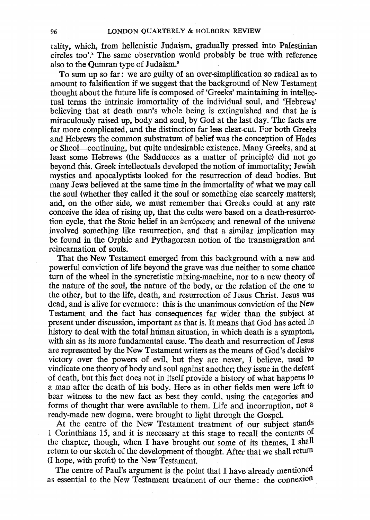tality, which, from hellenistic Judaism, gradually pressed into Palestinian circles too'.<sup>8</sup> The same observation would probably be true with reference also to the Qumran type of Judaism.<sup>9</sup>

To sum up so far: we are guilty of an over-simplification so radical as to amount to falsification if we suggest that the background of New Testament thought about the future life is composed of 'Greeks' maintaining in intellectual terms the intrinsic immortality of the individual soul, and 'Hebrews' believing that at death man's whole being is extinguished and that he is miraculously raised up, body and soul, by God at the last day. The facts are far more complicated; and the distinction far less clear-cut. For both Greeks and Hebrews the common substratum of belief was the conception of Hades or Sheol-continuing, but quite undesirable existence. Many Greeks, and at least some Hebrews (the Sadducees as a matter of principle) did not go beyond this. Greek intellectuals developed the notion of immortality; Jewish mystics and apocalyptists looked for the resurrection of dead bodies. But many Jews believed at the same time in the immortality of what we may call the soul (whether they called it the soul or something else scarcely matters); and, on the other side, we must remember that Greeks could at any rate conceive the idea of rising up, that the cults were based on a death-resurrection cycle, that the Stoic belief in an  $\frac{1}{2}$  extropology and renewal of the universe involved something like resurrection, and that a similar implication may be found in the Orphic and Pythagorean notion of the transmigration and reincarnation of souls.

That the New Testament emerged from this background with a new and powerful conviction of life beyond the grave was due neither to some chance turn of the wheel in the syncretistic mixing-machine, nor to a new theory of the nature of the soul, the nature of the body, or the relation of the one to the other, but to the life, death, and resurrection of Jesus Christ. Jesus was dead, and is alive for evermore: this is the unanimous conviction of the New Testament and the fact has consequences far wider than the subject at present under discussion, important as that is. It means that God has acted in history to deal with the total human situation, in which death is a symptom, with sin as its more fundamental cause. The death and resurrection of Jesus are represented by the New Testament writers as the means of God's decisive victory over the powers of evil, but they are never, I believe, used to vindicate one theory of body and soul against another; they issue in the defeat of death, but this fact does not in itself provide a history of what happens to a man after the death of his body. Here as in other fields men were left to bear witness to the new fact as best they could, using the categories and forms of thought that were available to them. Life and incorruption, not a ready-made new dogma, were brought to light through the Gospel.

At the centre of the New Testament treatment of our subject stands I Corinthians 15, and it is necessary at this stage to recall the contents of the chapter, though, when I have brought out some of its themes, I shall return to our sketch of the development of thought. After that we shall return (I hope, with profit) to the New Testament.

The centre of Paul's argument is the point that I have already mentioned as essential to the New Testament treatment of our theme: the connexion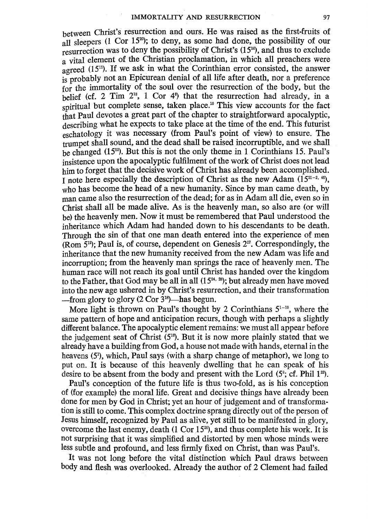between Christ's resurrection and ours. He was raised as the first-fruits of all sleepers (1 Cor 15<sup>20</sup>); to deny, as some had done, the possibility of our resurrection was to deny the possibility of Christ's  $(15<sup>16</sup>)$ , and thus to exclude a vital element of the Christian proclamation, in which all preachers were agreed  $(15)$ . If we ask in what the Corinthian error consisted, the answer is probably not an Epicurean denial of all life after death, nor a preference for the immortality of the soul over the resurrection of the body, but the belief (cf. 2 Tim  $2^{18}$ , 1 Cor  $4^8$ ) that the resurrection had already, in a spiritual but complete sense, taken place.<sup>10</sup> This view accounts for the fact that Paul devotes a great part of the chapter to straightforward apocalyptic, describing what he expects to take place at the time of the end. This futurist eschatology it was necessary (from Paul's point of view) to ensure. The trumpet shall sound, and the dead shall be raised incorruptible, and we shall be changed (1552 ). But this is not the only theme in 1 Corinthians 15. Paul's insistence upon the apocalyptic fulfilment of the work of Christ does not lead him to forget that the decisive work of Christ has already been accomplished. I note here especially the description of Christ as the new Adam  $(15^{21-2}, 45)$ , who has become the head of a new humanity. Since by man came death, by man came also the resurrection of the dead; for as in Adam all die, even so in Christ shall all be made alive. As is the heavenly man, so also are (or will be) the heavenly men. Now it must be remembered that Paul understood the inheritance which Adam had handed down to his descendants to be death. Through the sin of that one man death entered into the experience of men (Rom 512); Paul is, of course, dependent on Genesis 217. Correspondingly, the inheritance that the new humanity received from the new Adam was life and incorruption; from the heavenly man springs the race of heavenly men. The human race will not reach its goal until Christ has handed over the kingdom to the Father, that God may be all in all  $(15^{24}$ ,  $^{28})$ ; but already men have moved into the new age ushered in by Christ's resurrection, and their transformation -from glory to glory  $(2 \text{ Cor } 3^{18})$ -has begun.

More light is thrown on Paul's thought by 2 Corinthians  $5^{1-10}$ , where the same pattern of hope and anticipation recurs, though with perhaps a slightly different balance. The apocalyptic element remains: we must all appear before the judgement seat of Christ  $(5^{10})$ . But it is now more plainly stated that we already have a building from God, a house not made with hands, eternal in the heavens (51), which, Paul says (with a sharp change of metaphor), we long to put on. It is because of this heavenly dwelling that he can speak of his desire to be absent from the body and present with the Lord  $(5^{\circ}$ ; cf. Phil 1<sup>23</sup>).

Paul's conception of the future life is thus two-fold, as is his conception of (for example) the moral life. Great and decisive things have already been done for men by God in Christ; yet an hour of judgement and of transformation is still to come. This complex doctrine sprang directly out of the person of Jesus himself, recognized by Paul as· alive, yet still to be manifested in glory, overcome the last enemy, death  $(1 \text{ Cor } 15^{26})$ , and thus complete his work. It is not surprising that it was simplified and distorted by men whose minds were less subtle and profound, and less firmly fixed on Christ, than was Paul's.

It was not long before the vital distinction which Paul draws between body and flesh was overlooked. Already the author of 2 Clement had failed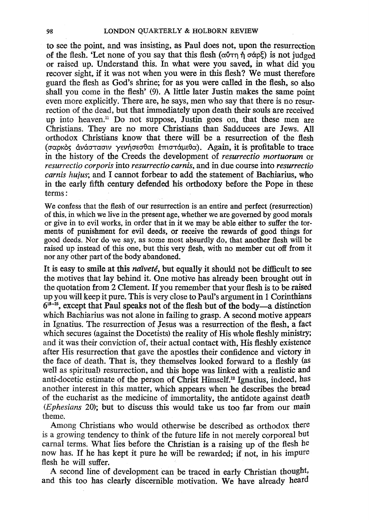to see the point, and was insisting, as Paul does not, upon the resurrection of the flesh. 'Let none of you say that this flesh ( $\alpha$  $\sigma$  $\eta$ )  $\bar{\eta}$   $\sigma$  $\alpha$  $\rho \xi$ ) is not judged or raised up. Understand this. In what were you saved, in what did you recover sight, if it was not when you were in this flesh? We must therefore guard the flesh as God's shrine; for as you were called in the flesh, so also shall you come in the flesh' (9). A little later Justin makes the same point even more explicitly. There are, he says, men who say that there is no resurrection of the dead, but that immediately upon death their souls are received up into heaven.<sup>11</sup> Do not suppose, Justin goes on, that these men are Christians. They are no more Christians than Sadducees are Jews. All orthodox Christians know that there will be a resurrection of the flesh (σαρκός *άνάστασιν γενήσεσθαι επιστάμεθα*). Again, it is profitable to trace in the history of the Creeds the development of *resurrectio mortuorum* or *resurrectio corporis* into *resurrectio carnis,* and in due course into *resurrectio carnis hujus;* and I cannot forbear to add the statement of Bachiarius, who in the early fifth century defended his orthodoxy before the Pope in these terms:

We confess that the flesh of our resurrection is an entire and perfect (resurrection) of this, in which we live in the present age, whether we are governed by good morals or give in to evil works, in order that in it we may be able either to suffer the torments of punishment for evil deeds, or receive the rewards of good things for good deeds. Nor do we say, as some most absurdly do, that another flesh will be raised up instead of this one, but this very flesh, with no member cut off from it nor any other part of the body abandoned.

It is easy to smile at this *naïveté*, but equally it should not be difficult to see the motives that lay behind it. One motive has already been brought out in the quotation from 2 Clement. If you remember that your flesh is to be raised up you will keep it pure. This is very close to Paul's argument in 1 Corinthians  $6^{18-16}$ , except that Paul speaks not of the flesh but of the body—a distinction which Bachiarius was not alone in failing to grasp. A second motive appears in Ignatius. The resurrection of Jesus was a resurrection of the flesh, a fact which secures (against the Docetists) the reality of His whole fleshly ministry; and it was their conviction of, their actual contact with. His fleshly existence after His resurrection that gave the apostles their confidence and victory in the face of death. That is, they themselves looked forward to a fleshly (as well as spiritual) resurrection, and this hope was linked with a realistic and anti-docetic estimate of the person of Christ Himself.12 Ignatius, indeed, has another interest in this matter, which appears when he describes the bread of the eucharist as the medicine of immortality, the antidote against death *(Ephesians* 20); but to discuss this would take us too far from our main theme. The contract of the contract of the contract of the contract of the contract of the contract of the contract of the contract of the contract of the contract of the contract of the contract of the contract of the con

Among Christians who would otherwise be described as orthodox there is a growing tendency to think of the future life in not merely corporeal but carnal terms. What lies before the Christian is a raising up of the flesh he now has. If he has kept it pure he will be rewarded; if not, in his impure flesh he will suffer.

A second line of development can be traced in early Christian thought, and this too has clearly discernible motivation. We have already heard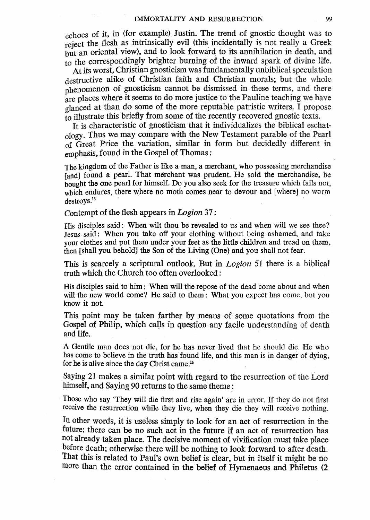echoes of it, in (for example) Justin. The trend of gnostic thought was to reject the flesh as intrinsically evil (this incidentally is not really a Greek but an oriental view), and to look forward to its annihilation in death, and to the correspondingly brighter burning of the inward spark of divine life.

At its worst, Christian gnosticism was fundamentally unbiblical speculation destructive alike of Christian faith and Christian morals; but the whole phenomenon of gnosticism cannot be dismissed in these terms, and there are places where it seems to do more justice to the Pauline teaching we have glanced at than do some of the more reputable patristic writers. I propose to illustrate this briefly from some of the recently recovered gnostic texts.

It is characteristic of gnosticism that it individualizes the biblical eschatology. Thus we may compare with the New Testament parable of the Pearl of Great Price the variation, similar in form but decidedly different in emphasis, found in the Gospel of Thomas:

The kingdom of the Father is like a man, a merchant, who possessing merchandise [and] found a pearl. That merchant was prudent. He sold the merchandise, he bought the one pearl for himself. Do you also seek for the treasure which fails not, which endures, there where no moth comes near to devour and [where] no worm destroys.<sup>13</sup>

Contempt of the flesh appears in *Logion* 37 :

His disciples said: When wilt thou be revealed to us and when will we see thee? Jesus said: When you take off your clothing without being ashamed, and take your clothes and put them under your feet as the little children and tread on them. then [shall you behold] the Son of the Living (One) and you shall not fear.

This is scarcely a scriptural outlook. But in *Logion* 51 there is a biblical truth which the Church too often overlooked:

His disciples said to him: When will the repose of the dead come about and when will the new world come? He said to them: What you expect has come, but you know it not.

This point may be taken farther by means of some quotations from the Gospel of Philip, which calls in question any facile understanding of death and life.

A Gentile man does not die, for he has never lived that he should die. He who has come to believe in the truth has found life, and this man is in danger of dying, for he is alive since the day Christ came.14

Saying 21 makes a similar point with regard to the resurrection of the Lord himself, and Saying 90 returns to the same theme:

Those who say 'They will die first and rise again' are in error. If they do not first receive the resurrection while they live, when they die they will receive nothing.

In other words, it is useless simply to look for an act of resurrection in the future; there can be no such act in the future if an act of resurrection has not already taken place. The decisive moment of vivification must take place before death; otherwise there will be nothing to look forward to after death. That this is related to Paul's own belief is clear, but in itself it might be no more than the error contained in the belief of Hymenaeus and Philetus (2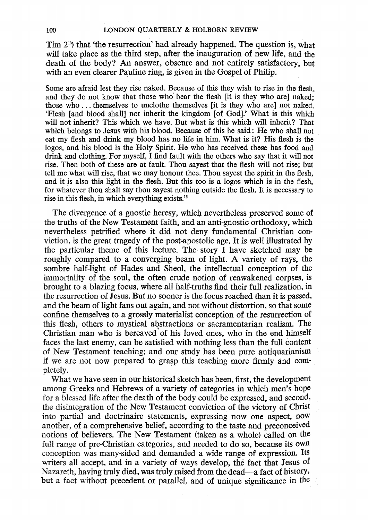Tim 218) that 'the resurrection' had already happened. The question is, what will take place as the third step, after the inauguration of new life, and the death of the body? An answer, obscure and not entirely satisfactory, but with an even clearer Pauline ring, is given in the Gospel of Philip.

Some are afraid lest they rise naked. Because of this they wish to rise in the flesh, and they do not know that those who bear the flesh [it is they who are] naked; those who ... themselves to unclothe themselves [it is they who are] not naked. 'Flesh [and blood shall] not inherit the kingdom [of God].' What is this which will not inherit? This which we have. But what is this which will inherit? That which belongs to Jesus with his blood. Because of this he said: He who shall not eat my flesh and drink my blood has no life in him. What is it? His flesh is the logos, and his blood is the Holy Spirit. He who has received these has food and drink and clothing. For myself, I find fault with the others who say that it will not rise. Then both of these are at fault. Thou sayest that the flesh will not rise; but tell me what will rise, that we may honour thee. Thou sayest the spirit in the flesh, and it is also this light in the flesh. But this too is a logos which is in the flesh, for whatever thou shalt say thou sayest nothing outside the flesh. It is necessary to rise in this flesh, in which everything exists.15

The divergence of a gnostic heresy, which nevertheless preserved some of the truths of the New Testament faith, and an anti-gnostic orthodoxy, which nevertheless petrified where it did not deny fundamental Christian conviction, is the great tragedy of the post-apostolic age. It is well illustrated by the particular theme of this lecture. The story I have sketched may be roughly compared to a converging beam of light. A variety of rays, the sombre half-light of Hades and Sheol, the intellectual conception of the immortality of the soul, the often crude notion of reawakened corpses, is brought to a blazing focus, where all half-truths find their full realization, in the resurrection of Jesus. But no sooner is the focus reached than it is passed, and the beam of light fans out again, and not without distortion, so that some confine themselves to a grossly materialist conception of the resurrection of this flesh, others to mystical abstractions or sacramentarian realism. The Christian man who is bereaved' of his loved ones, who in the end himself faces the last enemy, can be satisfied with nothing less than the full content of New Testament teaching; and our study has been pure antiquarianism if we are not now prepared to grasp this teaching more firmly and completely. .

What we have seen in our historical sketch has been, first, the development among Greeks and Hebrews of a variety of categories in which men's hope for a blessed life after the death of the body could be expressed, and second, the disintegration of the New Testament conviction of the victory of Christ into partial and doctrinaire statements, expressing now one aspect, noW another, of a comprehensive belief, according to the taste and preconceived notions of believers. The New Testament (taken as a whole) called on the full range of pre-Christian categories, and needed to do so, because its own conception was many-sided and demanded a wide range of expression. Its writers all accept, and in a variety of ways develop, the fact that Jesus of Nazareth, having truly died, was truly raised from the dead-a fact of history, but a fact without precedent or parallel, and of unique significance in the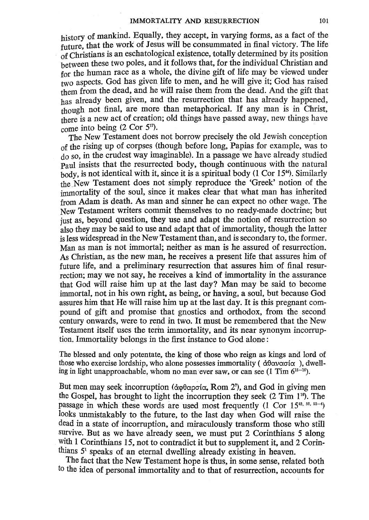history of mankind. Equally, they accept, in varying forms, as a fact of the future, that the work of Jesus will be consummated in final victory. The life of Christians is an eschatological existence, totally determined by its position between these two poles, and it follows that, for the individual Christian and for the human race as a whole, the divine gift of life may be viewed under two aspects. God has given life to men, and he will give it; God has raised them from the dead, and he will raise them from the dead. And the gift that has already been given, and the resurrection that has already happened, though not final, are more than metaphorical. If any man is in Christ. there is a new act of creation; old things have passed away, new things have come into being  $(2 \text{ Cor } 5<sup>i</sup>)$ .

The New Testament does not borrow precisely the old Jewish conception of the rising up of corpses (though before long, Papias for example, was to do so, in the crudest way imaginable). In a passage we have already studied Paul insists that the resurrected body, though continuous with the natural body, is not identical with it, since it is a spiritual body  $(1 \text{ Cor } 15<sup>44</sup>)$ . Similarly the New Testament does not simply reproduce the 'Greek' notion of the immortality of the soul, since it makes clear that what man has inherited from Adam is death. As man and sinner he can expect no other wage. The New Testament writers commit themselves to no ready-made doctrine; but just as, beyond question, they use and adapt the notion of resurrection so also they may be said to use and adapt that of immortality, though the latter is less widespread in the New Testament than, and is secondary to, the former. Man as man is not immortal; neither as man is he assured of resurrection. As Christian, as the new man, he receives a present life that assures him of future life, and a preliminary resurrection that assures him of final resurrection; may we not say, he receives a kind of immortality in the assurance that God will raise him up at the last day? Man may be said to become immortal, not in his own right, as being, or having, a soul, but because God assures him that He will raise him up at the last day. It is this pregnant compound of gift and promise that gnostics and orthodox, from the second century onwards, were to rend in two. It must be remembered that the New Testament itself uses the term immortality, and its near synonym incorruption. Immortality belongs in the first instance to God alone:

The blessed and only potentate, the king of those who reign as kings and lord of those who exercise lordship, who alone possesses immortality ( $\alpha \partial \alpha$  ), dwelling in light unapproachable, whom no man ever saw, or can see  $(1 \text{ Tim } 6^{15-16})$ .

But men may seek incorruption ( $\dot{\alpha}$  $\phi$ θαρσία, Rom 2<sup>7</sup>), and God in giving men the Gospel, has brought to light the incorruption they seek (2 Tim 110). The passage in which these words are used most frequently  $(1 \text{ Cor } 15^{42, 50, 52-4})$ looks unmistakably to the future, to the last day when God will raise the dead in a state of incorruption. and miraculously transform those who stilI survive. But as we have already seen, we must put 2 Corinthians 5 along with 1 Corinthians 15, not to contradict it but to supplement it, and 2 Corinthians 51 speaks of an eternal dwelling already existing in heaven.

The fact that the New Testament hope is thus, in some sense, related both to the idea of personal immortality and to that of resurrection, accounts for